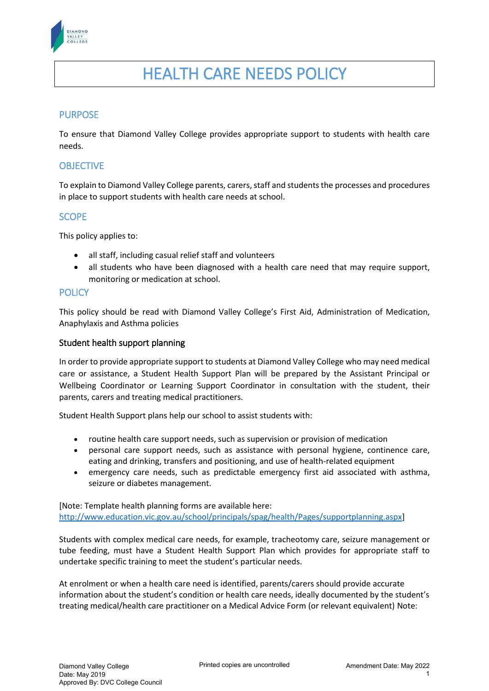

# HEALTH CARE NEEDS POLICY

## PURPOSE

To ensure that Diamond Valley College provides appropriate support to students with health care needs.

### **OBJECTIVE**

To explain to Diamond Valley College parents, carers, staff and students the processes and procedures in place to support students with health care needs at school.

## **SCOPE**

This policy applies to:

- all staff, including casual relief staff and volunteers
- all students who have been diagnosed with a health care need that may require support, monitoring or medication at school.

#### **POLICY**

This policy should be read with Diamond Valley College's First Aid, Administration of Medication, Anaphylaxis and Asthma policies

#### Student health support planning

In order to provide appropriate support to students at Diamond Valley College who may need medical care or assistance, a Student Health Support Plan will be prepared by the Assistant Principal or Wellbeing Coordinator or Learning Support Coordinator in consultation with the student, their parents, carers and treating medical practitioners.

Student Health Support plans help our school to assist students with:

- routine health care support needs, such as supervision or provision of medication
- personal care support needs, such as assistance with personal hygiene, continence care, eating and drinking, transfers and positioning, and use of health-related equipment
- emergency care needs, such as predictable emergency first aid associated with asthma, seizure or diabetes management.

[Note: Template health planning forms are available here: [http://www.education.vic.gov.au/school/principals/spag/health/Pages/supportplanning.aspx\]](http://www.education.vic.gov.au/school/principals/spag/health/Pages/supportplanning.aspx)

Students with complex medical care needs, for example, tracheotomy care, seizure management or tube feeding, must have a Student Health Support Plan which provides for appropriate staff to undertake specific training to meet the student's particular needs.

At enrolment or when a health care need is identified, parents/carers should provide accurate information about the student's condition or health care needs, ideally documented by the student's treating medical/health care practitioner on a Medical Advice Form (or relevant equivalent) Note: